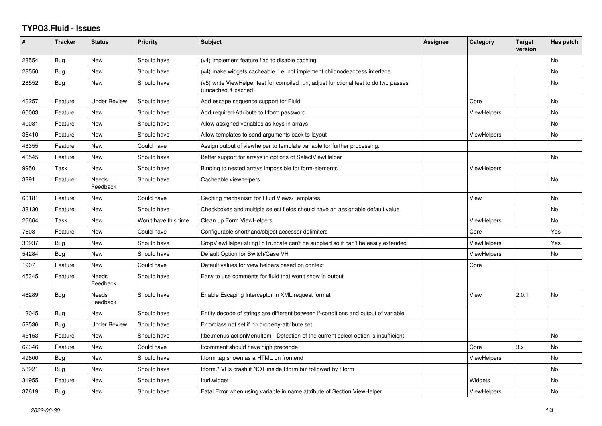## **TYPO3.Fluid - Issues**

| ∦     | <b>Tracker</b> | <b>Status</b>            | <b>Priority</b>      | Subject                                                                                                     | <b>Assignee</b> | Category           | <b>Target</b><br>version | Has patch |
|-------|----------------|--------------------------|----------------------|-------------------------------------------------------------------------------------------------------------|-----------------|--------------------|--------------------------|-----------|
| 28554 | Bug            | New                      | Should have          | (v4) implement feature flag to disable caching                                                              |                 |                    |                          | No        |
| 28550 | Bug            | New                      | Should have          | (v4) make widgets cacheable, i.e. not implement childnodeaccess interface                                   |                 |                    |                          | No        |
| 28552 | <b>Bug</b>     | New                      | Should have          | (v5) write ViewHelper test for compiled run; adjust functional test to do two passes<br>(uncached & cached) |                 |                    |                          | No        |
| 46257 | Feature        | Under Review             | Should have          | Add escape sequence support for Fluid                                                                       |                 | Core               |                          | No        |
| 60003 | Feature        | <b>New</b>               | Should have          | Add required-Attribute to f:form.password                                                                   |                 | <b>ViewHelpers</b> |                          | No        |
| 40081 | Feature        | <b>New</b>               | Should have          | Allow assigned variables as keys in arrays                                                                  |                 |                    |                          | No        |
| 36410 | Feature        | New                      | Should have          | Allow templates to send arguments back to layout                                                            |                 | <b>ViewHelpers</b> |                          | No        |
| 48355 | Feature        | <b>New</b>               | Could have           | Assign output of viewhelper to template variable for further processing.                                    |                 |                    |                          |           |
| 46545 | Feature        | <b>New</b>               | Should have          | Better support for arrays in options of SelectViewHelper                                                    |                 |                    |                          | <b>No</b> |
| 9950  | Task           | New                      | Should have          | Binding to nested arrays impossible for form-elements                                                       |                 | <b>ViewHelpers</b> |                          |           |
| 3291  | Feature        | <b>Needs</b><br>Feedback | Should have          | Cacheable viewhelpers                                                                                       |                 |                    |                          | No        |
| 60181 | Feature        | New                      | Could have           | Caching mechanism for Fluid Views/Templates                                                                 |                 | View               |                          | No        |
| 38130 | Feature        | New                      | Should have          | Checkboxes and multiple select fields should have an assignable default value                               |                 |                    |                          | No        |
| 26664 | Task           | New                      | Won't have this time | Clean up Form ViewHelpers                                                                                   |                 | <b>ViewHelpers</b> |                          | No        |
| 7608  | Feature        | <b>New</b>               | Could have           | Configurable shorthand/object accessor delimiters                                                           |                 | Core               |                          | Yes       |
| 30937 | Bug            | New                      | Should have          | CropViewHelper stringToTruncate can't be supplied so it can't be easily extended                            |                 | <b>ViewHelpers</b> |                          | Yes       |
| 54284 | <b>Bug</b>     | New                      | Should have          | Default Option for Switch/Case VH                                                                           |                 | ViewHelpers        |                          | No.       |
| 1907  | Feature        | <b>New</b>               | Could have           | Default values for view helpers based on context                                                            |                 | Core               |                          |           |
| 45345 | Feature        | <b>Needs</b><br>Feedback | Should have          | Easy to use comments for fluid that won't show in output                                                    |                 |                    |                          |           |
| 46289 | Bug            | Needs<br>Feedback        | Should have          | Enable Escaping Interceptor in XML request format                                                           |                 | View               | 2.0.1                    | No        |
| 13045 | Bug            | New                      | Should have          | Entity decode of strings are different between if-conditions and output of variable                         |                 |                    |                          |           |
| 52536 | Bug            | <b>Under Review</b>      | Should have          | Errorclass not set if no property-attribute set                                                             |                 |                    |                          |           |
| 45153 | Feature        | <b>New</b>               | Should have          | f:be.menus.actionMenuItem - Detection of the current select option is insufficient                          |                 |                    |                          | No        |
| 62346 | Feature        | <b>New</b>               | Could have           | f:comment should have high precende                                                                         |                 | Core               | 3.x                      | No        |
| 49600 | Bug            | New                      | Should have          | f:form tag shown as a HTML on frontend                                                                      |                 | ViewHelpers        |                          | No        |
| 58921 | Bug            | New                      | Should have          | f:form.* VHs crash if NOT inside f:form but followed by f:form                                              |                 |                    |                          | No.       |
| 31955 | Feature        | New                      | Should have          | f:uri.widget                                                                                                |                 | Widgets            |                          | No        |
| 37619 | Bug            | New                      | Should have          | Fatal Error when using variable in name attribute of Section ViewHelper                                     |                 | <b>ViewHelpers</b> |                          | No        |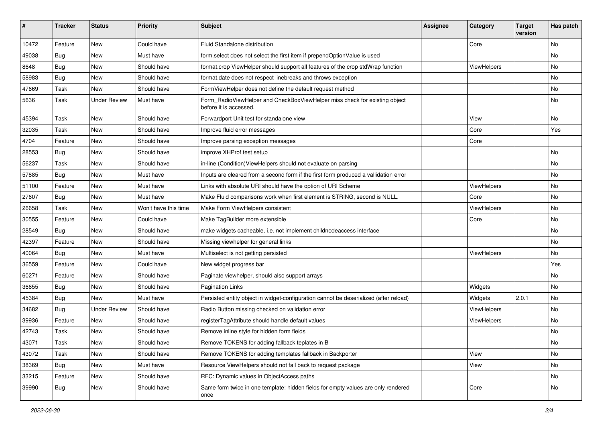| ∦     | <b>Tracker</b> | <b>Status</b>       | <b>Priority</b>      | Subject                                                                                              | <b>Assignee</b> | Category    | <b>Target</b><br>version | Has patch |
|-------|----------------|---------------------|----------------------|------------------------------------------------------------------------------------------------------|-----------------|-------------|--------------------------|-----------|
| 10472 | Feature        | New                 | Could have           | Fluid Standalone distribution                                                                        |                 | Core        |                          | <b>No</b> |
| 49038 | Bug            | New                 | Must have            | form.select does not select the first item if prependOptionValue is used                             |                 |             |                          | No        |
| 8648  | Bug            | New                 | Should have          | format.crop ViewHelper should support all features of the crop stdWrap function                      |                 | ViewHelpers |                          | No        |
| 58983 | Bug            | New                 | Should have          | format.date does not respect linebreaks and throws exception                                         |                 |             |                          | <b>No</b> |
| 47669 | Task           | New                 | Should have          | FormViewHelper does not define the default request method                                            |                 |             |                          | No        |
| 5636  | Task           | <b>Under Review</b> | Must have            | Form_RadioViewHelper and CheckBoxViewHelper miss check for existing object<br>before it is accessed. |                 |             |                          | <b>No</b> |
| 45394 | Task           | New                 | Should have          | Forwardport Unit test for standalone view                                                            |                 | View        |                          | No        |
| 32035 | Task           | New                 | Should have          | Improve fluid error messages                                                                         |                 | Core        |                          | Yes       |
| 4704  | Feature        | New                 | Should have          | Improve parsing exception messages                                                                   |                 | Core        |                          |           |
| 28553 | Bug            | New                 | Should have          | improve XHProf test setup                                                                            |                 |             |                          | No        |
| 56237 | Task           | New                 | Should have          | in-line (Condition) View Helpers should not evaluate on parsing                                      |                 |             |                          | No        |
| 57885 | Bug            | New                 | Must have            | Inputs are cleared from a second form if the first form produced a vallidation error                 |                 |             |                          | No        |
| 51100 | Feature        | <b>New</b>          | Must have            | Links with absolute URI should have the option of URI Scheme                                         |                 | ViewHelpers |                          | <b>No</b> |
| 27607 | Bug            | New                 | Must have            | Make Fluid comparisons work when first element is STRING, second is NULL.                            |                 | Core        |                          | No        |
| 26658 | Task           | New                 | Won't have this time | Make Form ViewHelpers consistent                                                                     |                 | ViewHelpers |                          | No        |
| 30555 | Feature        | New                 | Could have           | Make TagBuilder more extensible                                                                      |                 | Core        |                          | No        |
| 28549 | Bug            | New                 | Should have          | make widgets cacheable, i.e. not implement childnodeaccess interface                                 |                 |             |                          | No        |
| 42397 | Feature        | New                 | Should have          | Missing viewhelper for general links                                                                 |                 |             |                          | <b>No</b> |
| 40064 | Bug            | New                 | Must have            | Multiselect is not getting persisted                                                                 |                 | ViewHelpers |                          | No        |
| 36559 | Feature        | New                 | Could have           | New widget progress bar                                                                              |                 |             |                          | Yes       |
| 60271 | Feature        | New                 | Should have          | Paginate viewhelper, should also support arrays                                                      |                 |             |                          | No        |
| 36655 | Bug            | New                 | Should have          | <b>Pagination Links</b>                                                                              |                 | Widgets     |                          | No        |
| 45384 | Bug            | New                 | Must have            | Persisted entity object in widget-configuration cannot be deserialized (after reload)                |                 | Widgets     | 2.0.1                    | No        |
| 34682 | Bug            | <b>Under Review</b> | Should have          | Radio Button missing checked on validation error                                                     |                 | ViewHelpers |                          | No        |
| 39936 | Feature        | New                 | Should have          | registerTagAttribute should handle default values                                                    |                 | ViewHelpers |                          | No        |
| 42743 | Task           | New                 | Should have          | Remove inline style for hidden form fields                                                           |                 |             |                          | No        |
| 43071 | Task           | New                 | Should have          | Remove TOKENS for adding fallback teplates in B                                                      |                 |             |                          | No        |
| 43072 | Task           | New                 | Should have          | Remove TOKENS for adding templates fallback in Backporter                                            |                 | View        |                          | No        |
| 38369 | <b>Bug</b>     | New                 | Must have            | Resource ViewHelpers should not fall back to request package                                         |                 | View        |                          | No        |
| 33215 | Feature        | New                 | Should have          | RFC: Dynamic values in ObjectAccess paths                                                            |                 |             |                          | No        |
| 39990 | <b>Bug</b>     | New                 | Should have          | Same form twice in one template: hidden fields for empty values are only rendered<br>once            |                 | Core        |                          | No        |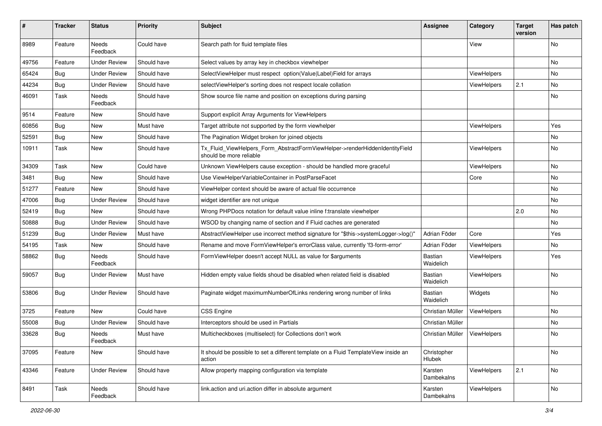| #     | <b>Tracker</b> | <b>Status</b>       | <b>Priority</b> | <b>Subject</b>                                                                                         | <b>Assignee</b>             | Category           | <b>Target</b><br>version | Has patch |
|-------|----------------|---------------------|-----------------|--------------------------------------------------------------------------------------------------------|-----------------------------|--------------------|--------------------------|-----------|
| 8989  | Feature        | Needs<br>Feedback   | Could have      | Search path for fluid template files                                                                   |                             | View               |                          | <b>No</b> |
| 49756 | Feature        | Under Review        | Should have     | Select values by array key in checkbox viewhelper                                                      |                             |                    |                          | No        |
| 65424 | Bug            | <b>Under Review</b> | Should have     | SelectViewHelper must respect option(Value Label)Field for arrays                                      |                             | ViewHelpers        |                          | No        |
| 44234 | Bug            | <b>Under Review</b> | Should have     | selectViewHelper's sorting does not respect locale collation                                           |                             | ViewHelpers        | 2.1                      | No        |
| 46091 | Task           | Needs<br>Feedback   | Should have     | Show source file name and position on exceptions during parsing                                        |                             |                    |                          | No        |
| 9514  | Feature        | New                 | Should have     | Support explicit Array Arguments for ViewHelpers                                                       |                             |                    |                          |           |
| 60856 | Bug            | New                 | Must have       | Target attribute not supported by the form viewhelper                                                  |                             | ViewHelpers        |                          | Yes       |
| 52591 | Bug            | New                 | Should have     | The Pagination Widget broken for joined objects                                                        |                             |                    |                          | No        |
| 10911 | Task           | New                 | Should have     | Tx_Fluid_ViewHelpers_Form_AbstractFormViewHelper->renderHiddenIdentityField<br>should be more reliable |                             | ViewHelpers        |                          | No        |
| 34309 | Task           | New                 | Could have      | Unknown ViewHelpers cause exception - should be handled more graceful                                  |                             | <b>ViewHelpers</b> |                          | No        |
| 3481  | Bug            | New                 | Should have     | Use ViewHelperVariableContainer in PostParseFacet                                                      |                             | Core               |                          | <b>No</b> |
| 51277 | Feature        | New                 | Should have     | ViewHelper context should be aware of actual file occurrence                                           |                             |                    |                          | No        |
| 47006 | Bug            | <b>Under Review</b> | Should have     | widget identifier are not unique                                                                       |                             |                    |                          | No        |
| 52419 | Bug            | New                 | Should have     | Wrong PHPDocs notation for default value inline f:translate viewhelper                                 |                             |                    | 2.0                      | No        |
| 50888 | Bug            | <b>Under Review</b> | Should have     | WSOD by changing name of section and if Fluid caches are generated                                     |                             |                    |                          | No        |
| 51239 | Bug            | <b>Under Review</b> | Must have       | AbstractViewHelper use incorrect method signature for "\$this->systemLogger->log()"                    | Adrian Föder                | Core               |                          | Yes       |
| 54195 | Task           | New                 | Should have     | Rename and move FormViewHelper's errorClass value, currently 'f3-form-error'                           | Adrian Föder                | ViewHelpers        |                          | No        |
| 58862 | Bug            | Needs<br>Feedback   | Should have     | FormViewHelper doesn't accept NULL as value for \$arguments                                            | Bastian<br>Waidelich        | ViewHelpers        |                          | Yes       |
| 59057 | Bug            | Under Review        | Must have       | Hidden empty value fields shoud be disabled when related field is disabled                             | <b>Bastian</b><br>Waidelich | ViewHelpers        |                          | No        |
| 53806 | <b>Bug</b>     | <b>Under Review</b> | Should have     | Paginate widget maximumNumberOfLinks rendering wrong number of links                                   | <b>Bastian</b><br>Waidelich | Widgets            |                          | No        |
| 3725  | Feature        | New                 | Could have      | <b>CSS Engine</b>                                                                                      | Christian Müller            | ViewHelpers        |                          | No        |
| 55008 | Bug            | <b>Under Review</b> | Should have     | Interceptors should be used in Partials                                                                | Christian Müller            |                    |                          | No        |
| 33628 | Bug            | Needs<br>Feedback   | Must have       | Multicheckboxes (multiselect) for Collections don't work                                               | Christian Müller            | ViewHelpers        |                          | No        |
| 37095 | Feature        | New                 | Should have     | It should be possible to set a different template on a Fluid TemplateView inside an<br>action          | Christopher<br>Hlubek       |                    |                          | No        |
| 43346 | Feature        | <b>Under Review</b> | Should have     | Allow property mapping configuration via template                                                      | Karsten<br>Dambekalns       | ViewHelpers        | 2.1                      | No        |
| 8491  | Task           | Needs<br>Feedback   | Should have     | link.action and uri.action differ in absolute argument                                                 | Karsten<br>Dambekalns       | ViewHelpers        |                          | No        |